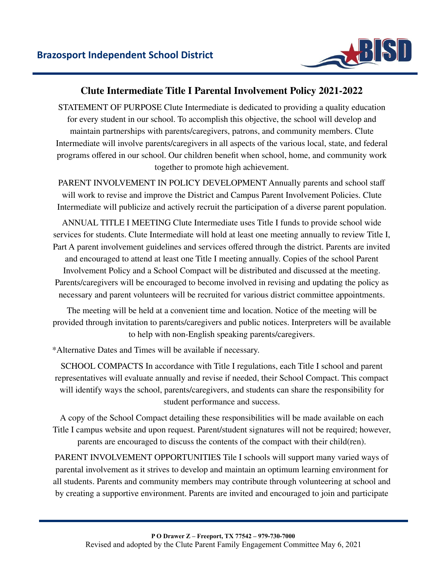

## **Clute Intermediate Title I Parental Involvement Policy 2021-2022**

STATEMENT OF PURPOSE Clute Intermediate is dedicated to providing a quality education for every student in our school. To accomplish this objective, the school will develop and maintain partnerships with parents/caregivers, patrons, and community members. Clute Intermediate will involve parents/caregivers in all aspects of the various local, state, and federal programs offered in our school. Our children benefit when school, home, and community work together to promote high achievement.

PARENT INVOLVEMENT IN POLICY DEVELOPMENT Annually parents and school staff will work to revise and improve the District and Campus Parent Involvement Policies. Clute Intermediate will publicize and actively recruit the participation of a diverse parent population.

ANNUAL TITLE I MEETING Clute Intermediate uses Title I funds to provide school wide services for students. Clute Intermediate will hold at least one meeting annually to review Title I, Part A parent involvement guidelines and services offered through the district. Parents are invited and encouraged to attend at least one Title I meeting annually. Copies of the school Parent Involvement Policy and a School Compact will be distributed and discussed at the meeting. Parents/caregivers will be encouraged to become involved in revising and updating the policy as necessary and parent volunteers will be recruited for various district committee appointments.

The meeting will be held at a convenient time and location. Notice of the meeting will be provided through invitation to parents/caregivers and public notices. Interpreters will be available to help with non-English speaking parents/caregivers.

\*Alternative Dates and Times will be available if necessary.

SCHOOL COMPACTS In accordance with Title I regulations, each Title I school and parent representatives will evaluate annually and revise if needed, their School Compact. This compact will identify ways the school, parents/caregivers, and students can share the responsibility for student performance and success.

A copy of the School Compact detailing these responsibilities will be made available on each Title I campus website and upon request. Parent/student signatures will not be required; however, parents are encouraged to discuss the contents of the compact with their child(ren).

PARENT INVOLVEMENT OPPORTUNITIES Tile I schools will support many varied ways of parental involvement as it strives to develop and maintain an optimum learning environment for all students. Parents and community members may contribute through volunteering at school and by creating a supportive environment. Parents are invited and encouraged to join and participate